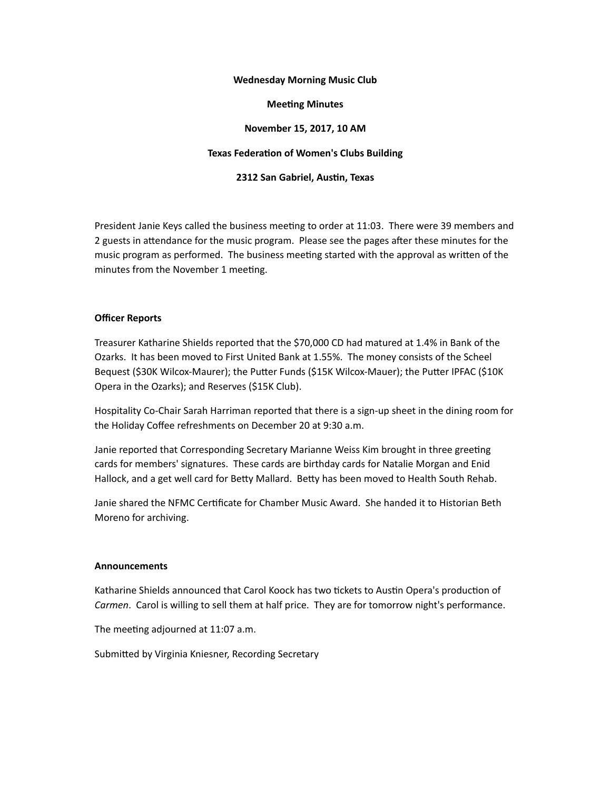### **Wednesday Morning Music Club**

### **Meeting Minutes**

## **November 15, 2017, 10 AM**

# **Texas Federation of Women's Clubs Building**

### **2312 San Gabriel, Austin, Texas**

President Janie Keys called the business meeting to order at 11:03. There were 39 members and 2 guests in attendance for the music program. Please see the pages after these minutes for the music program as performed. The business meeting started with the approval as written of the minutes from the November 1 meeting.

### **Officer Reports**

Treasurer Katharine Shields reported that the \$70,000 CD had matured at 1.4% in Bank of the Ozarks. It has been moved to First United Bank at 1.55%. The money consists of the Scheel Bequest (\$30K Wilcox-Maurer); the Putter Funds (\$15K Wilcox-Mauer); the Putter IPFAC (\$10K Opera in the Ozarks); and Reserves (\$15K Club).

Hospitality Co-Chair Sarah Harriman reported that there is a sign-up sheet in the dining room for the Holiday Coffee refreshments on December 20 at 9:30 a.m.

Janie reported that Corresponding Secretary Marianne Weiss Kim brought in three greeting cards for members' signatures. These cards are birthday cards for Natalie Morgan and Enid Hallock, and a get well card for Betty Mallard. Betty has been moved to Health South Rehab.

Janie shared the NFMC Certificate for Chamber Music Award. She handed it to Historian Beth Moreno for archiving.

#### **Announcements**

Katharine Shields announced that Carol Koock has two tickets to Austin Opera's production of *Carmen*. Carol is willing to sell them at half price. They are for tomorrow night's performance.

The meeting adjourned at 11:07 a.m.

Submitted by Virginia Kniesner, Recording Secretary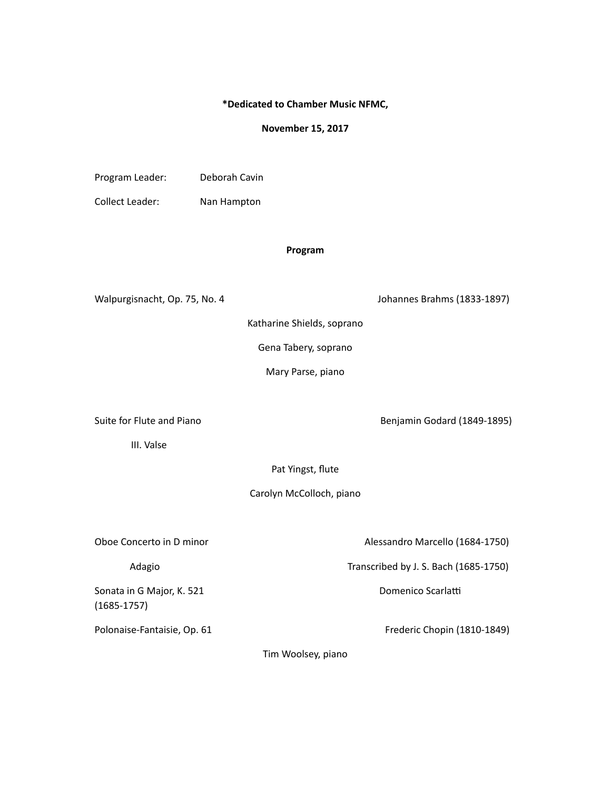## **\*Dedicated to Chamber Music NFMC,**

#### **November 15, 2017**

Program Leader: Deborah Cavin

Collect Leader: Nan Hampton

# **Program**

Walpurgisnacht, Op. 75, No. 4 Johannes Brahms (1833-1897)

Katharine Shields, soprano

Gena Tabery, soprano

Mary Parse, piano

Suite for Flute and Piano **Benjamin** Godard (1849-1895)

 III. Valse

Pat Yingst, flute

Carolyn McColloch, piano

Sonata in G Major, K. 521 Domenico Scarlam (1685-1757)

Oboe Concerto in D minor **Marcello** (1684-1750) **Concerto** in D minor

Adagio **Manual Adagio Transcribed** by J. S. Bach (1685-1750)

Polonaise-Fantaisie, Op. 61 **Polonaise-Fantaisie,** Op. 61

Tim Woolsey, piano